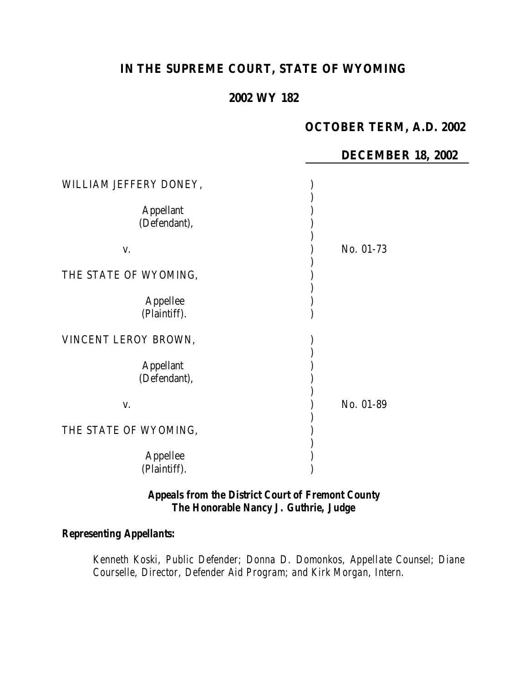# **IN THE SUPREME COURT, STATE OF WYOMING**

## **2002 WY 182**

### **OCTOBER TERM, A.D. 2002**

#### **DECEMBER 18, 2002**

| WILLIAM JEFFERY DONEY,           |           |
|----------------------------------|-----------|
| <b>Appellant</b><br>(Defendant), |           |
| V.                               | No. 01-73 |
| THE STATE OF WYOMING,            |           |
| Appellee<br>(Plaintiff).         |           |
| VINCENT LEROY BROWN,             |           |
| <b>Appellant</b><br>(Defendant), |           |
| V.                               | No. 01-89 |
| THE STATE OF WYOMING,            |           |
| Appellee<br>(Plaintiff).         |           |

### *Appeals from the District Court of Fremont County The Honorable Nancy J. Guthrie, Judge*

### *Representing Appellants:*

*Kenneth Koski, Public Defender; Donna D. Domonkos, Appellate Counsel; Diane Courselle, Director, Defender Aid Program; and Kirk Morgan, Intern.*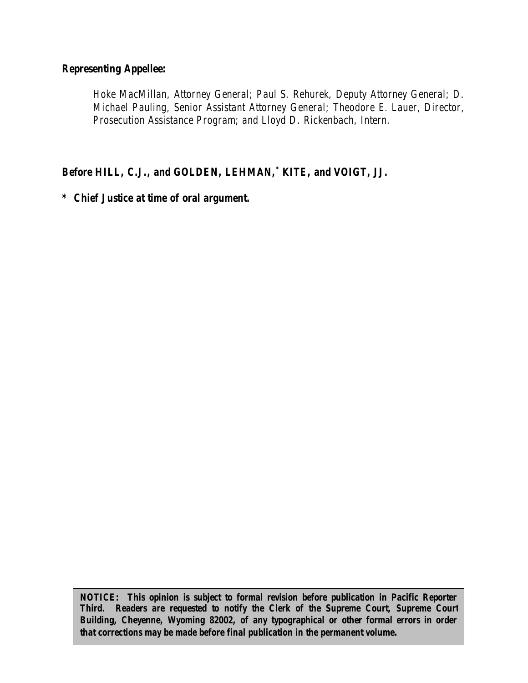#### *Representing Appellee:*

*Hoke MacMillan, Attorney General; Paul S. Rehurek, Deputy Attorney General; D. Michael Pauling, Senior Assistant Attorney General; Theodore E. Lauer, Director, Prosecution Assistance Program; and Lloyd D. Rickenbach, Intern.*

*Before HILL, C.J., and GOLDEN, LEHMAN,\* KITE, and VOIGT, JJ.*

*\* Chief Justice at time of oral argument.*

*NOTICE: This opinion is subject to formal revision before publication in Pacific Reporter Third. Readers are requested to notify the Clerk of the Supreme Court, Supreme Court Building, Cheyenne, Wyoming 82002, of any typographical or other formal errors in order that corrections may be made before final publication in the permanent volume.*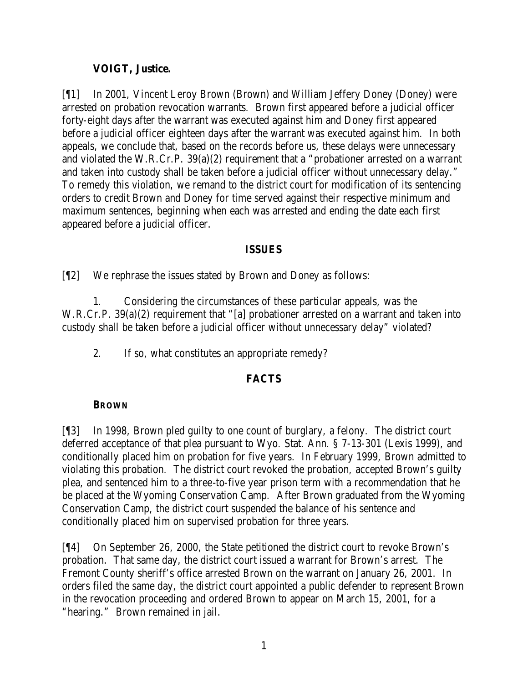### **VOIGT, Justice.**

[¶1] In 2001, Vincent Leroy Brown (Brown) and William Jeffery Doney (Doney) were arrested on probation revocation warrants. Brown first appeared before a judicial officer forty-eight days after the warrant was executed against him and Doney first appeared before a judicial officer eighteen days after the warrant was executed against him. In both appeals, we conclude that, based on the records before us, these delays were unnecessary and violated the W.R.Cr.P. 39(a)(2) requirement that a "probationer arrested on a warrant and taken into custody shall be taken before a judicial officer without unnecessary delay." To remedy this violation, we remand to the district court for modification of its sentencing orders to credit Brown and Doney for time served against their respective minimum and maximum sentences, beginning when each was arrested and ending the date each first appeared before a judicial officer.

#### **ISSUES**

[¶2] We rephrase the issues stated by Brown and Doney as follows:

1. Considering the circumstances of these particular appeals, was the W.R.Cr.P. 39(a)(2) requirement that "[a] probationer arrested on a warrant and taken into custody shall be taken before a judicial officer without unnecessary delay" violated?

2. If so, what constitutes an appropriate remedy?

## **FACTS**

### **BROWN**

[¶3] In 1998, Brown pled guilty to one count of burglary, a felony. The district court deferred acceptance of that plea pursuant to Wyo. Stat. Ann. § 7-13-301 (Lexis 1999), and conditionally placed him on probation for five years. In February 1999, Brown admitted to violating this probation. The district court revoked the probation, accepted Brown's guilty plea, and sentenced him to a three-to-five year prison term with a recommendation that he be placed at the Wyoming Conservation Camp. After Brown graduated from the Wyoming Conservation Camp, the district court suspended the balance of his sentence and conditionally placed him on supervised probation for three years.

[¶4] On September 26, 2000, the State petitioned the district court to revoke Brown's probation. That same day, the district court issued a warrant for Brown's arrest. The Fremont County sheriff's office arrested Brown on the warrant on January 26, 2001. In orders filed the same day, the district court appointed a public defender to represent Brown in the revocation proceeding and ordered Brown to appear on March 15, 2001, for a "hearing." Brown remained in jail.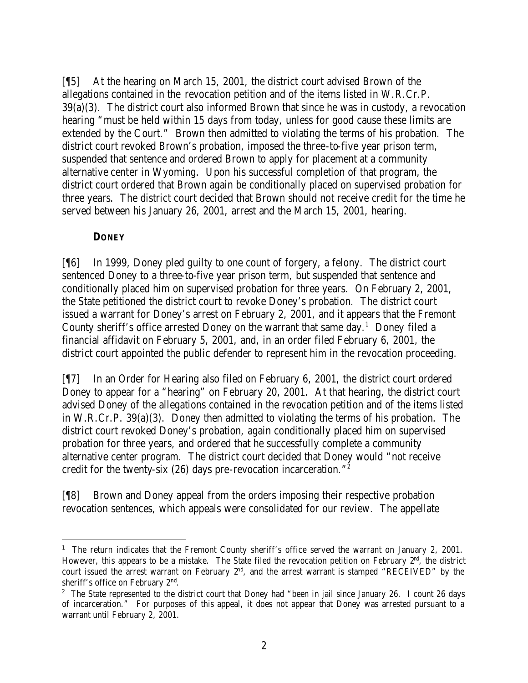[¶5] At the hearing on March 15, 2001, the district court advised Brown of the allegations contained in the revocation petition and of the items listed in W.R.Cr.P. 39(a)(3). The district court also informed Brown that since he was in custody, a revocation hearing "must be held within 15 days from today, unless for good cause these limits are extended by the Court." Brown then admitted to violating the terms of his probation. The district court revoked Brown's probation, imposed the three-to-five year prison term, suspended that sentence and ordered Brown to apply for placement at a community alternative center in Wyoming. Upon his successful completion of that program, the district court ordered that Brown again be conditionally placed on supervised probation for three years. The district court decided that Brown should not receive credit for the time he served between his January 26, 2001, arrest and the March 15, 2001, hearing.

#### **DONEY**

[¶6] In 1999, Doney pled guilty to one count of forgery, a felony. The district court sentenced Doney to a three-to-five year prison term, but suspended that sentence and conditionally placed him on supervised probation for three years. On February 2, 2001, the State petitioned the district court to revoke Doney's probation. The district court issued a warrant for Doney's arrest on February 2, 2001, and it appears that the Fremont County sheriff's office arrested Doney on the warrant that same day.<sup>1</sup> Doney filed a financial affidavit on February 5, 2001, and, in an order filed February 6, 2001, the district court appointed the public defender to represent him in the revocation proceeding.

[¶7] In an Order for Hearing also filed on February 6, 2001, the district court ordered Doney to appear for a "hearing" on February 20, 2001. At that hearing, the district court advised Doney of the allegations contained in the revocation petition and of the items listed in W.R.Cr.P. 39(a)(3). Doney then admitted to violating the terms of his probation. The district court revoked Doney's probation, again conditionally placed him on supervised probation for three years, and ordered that he successfully complete a community alternative center program. The district court decided that Doney would "not receive credit for the twenty-six (26) days pre-revocation incarceration."<sup>2</sup>

[¶8] Brown and Doney appeal from the orders imposing their respective probation revocation sentences, which appeals were consolidated for our review. The appellate

<sup>&</sup>lt;sup>1</sup> The return indicates that the Fremont County sheriff's office served the warrant on January 2, 2001. However, this appears to be a mistake. The State filed the revocation petition on February 2<sup>nd</sup>, the district court issued the arrest warrant on February  $2<sup>nd</sup>$ , and the arrest warrant is stamped "RECEIVED" by the sheriff's office on February  $2<sup>nd</sup>$ .

<sup>&</sup>lt;sup>2</sup> The State represented to the district court that Doney had "been in jail since January 26. I count 26 days of incarceration." For purposes of this appeal, it does not appear that Doney was arrested pursuant to a warrant until February 2, 2001.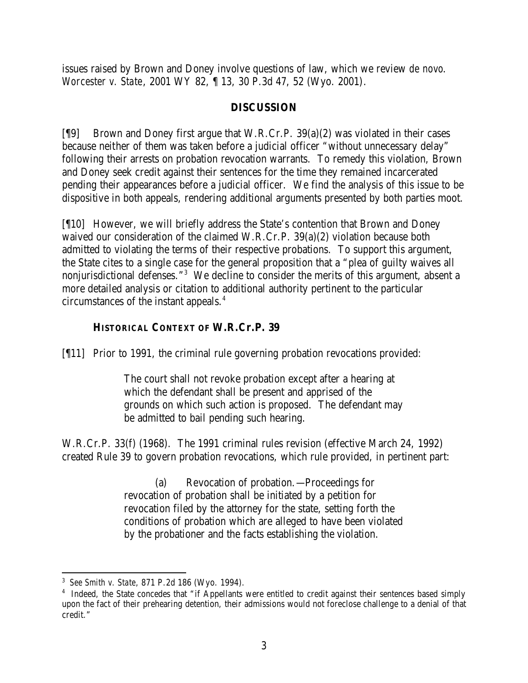issues raised by Brown and Doney involve questions of law, which we review *de novo*. *Worcester v. State*, 2001 WY 82, ¶ 13, 30 P.3d 47, 52 (Wyo. 2001).

### **DISCUSSION**

[¶9] Brown and Doney first argue that W.R.Cr.P. 39(a)(2) was violated in their cases because neither of them was taken before a judicial officer "without unnecessary delay" following their arrests on probation revocation warrants. To remedy this violation, Brown and Doney seek credit against their sentences for the time they remained incarcerated pending their appearances before a judicial officer. We find the analysis of this issue to be dispositive in both appeals, rendering additional arguments presented by both parties moot.

[¶10] However, we will briefly address the State's contention that Brown and Doney waived our consideration of the claimed W.R.Cr.P. 39(a)(2) violation because both admitted to violating the terms of their respective probations. To support this argument, the State cites to a single case for the general proposition that a "plea of guilty waives all nonjurisdictional defenses."<sup>3</sup> We decline to consider the merits of this argument, absent a more detailed analysis or citation to additional authority pertinent to the particular circumstances of the instant appeals.<sup>4</sup>

## **HISTORICAL CONTEXT OF W.R.Cr.P. 39**

[¶11] Prior to 1991, the criminal rule governing probation revocations provided:

The court shall not revoke probation except after a hearing at which the defendant shall be present and apprised of the grounds on which such action is proposed. The defendant may be admitted to bail pending such hearing.

W.R.Cr.P. 33(f) (1968). The 1991 criminal rules revision (effective March 24, 1992) created Rule 39 to govern probation revocations, which rule provided, in pertinent part:

> (a) Revocation of probation.—Proceedings for revocation of probation shall be initiated by a petition for revocation filed by the attorney for the state, setting forth the conditions of probation which are alleged to have been violated by the probationer and the facts establishing the violation.

<sup>3</sup> *See Smith v. State*, 871 P.2d 186 (Wyo. 1994).

<sup>&</sup>lt;sup>4</sup> Indeed, the State concedes that "if Appellants were entitled to credit against their sentences based simply upon the fact of their prehearing detention, their admissions would not foreclose challenge to a denial of that credit."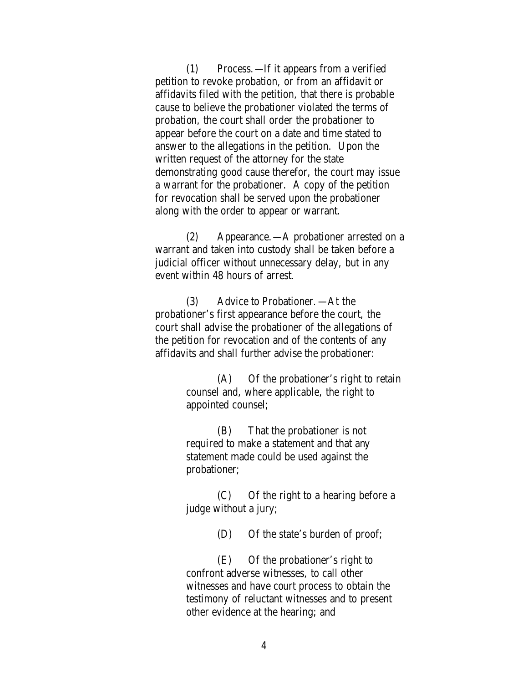(1) Process.—If it appears from a verified petition to revoke probation, or from an affidavit or affidavits filed with the petition, that there is probable cause to believe the probationer violated the terms of probation, the court shall order the probationer to appear before the court on a date and time stated to answer to the allegations in the petition. Upon the written request of the attorney for the state demonstrating good cause therefor, the court may issue a warrant for the probationer. A copy of the petition for revocation shall be served upon the probationer along with the order to appear or warrant.

(2) Appearance.—A probationer arrested on a warrant and taken into custody shall be taken before a judicial officer without unnecessary delay, but in any event within 48 hours of arrest.

(3) Advice to Probationer.—At the probationer's first appearance before the court, the court shall advise the probationer of the allegations of the petition for revocation and of the contents of any affidavits and shall further advise the probationer:

> (A) Of the probationer's right to retain counsel and, where applicable, the right to appointed counsel;

(B) That the probationer is not required to make a statement and that any statement made could be used against the probationer;

(C) Of the right to a hearing before a judge without a jury;

(D) Of the state's burden of proof;

(E) Of the probationer's right to confront adverse witnesses, to call other witnesses and have court process to obtain the testimony of reluctant witnesses and to present other evidence at the hearing; and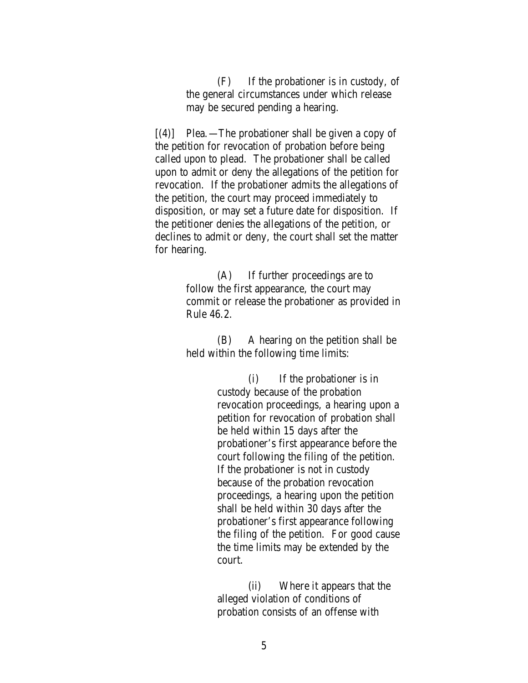(F) If the probationer is in custody, of the general circumstances under which release may be secured pending a hearing.

 $[(4)]$  Plea. —The probationer shall be given a copy of the petition for revocation of probation before being called upon to plead. The probationer shall be called upon to admit or deny the allegations of the petition for revocation. If the probationer admits the allegations of the petition, the court may proceed immediately to disposition, or may set a future date for disposition. If the petitioner denies the allegations of the petition, or declines to admit or deny, the court shall set the matter for hearing.

> (A) If further proceedings are to follow the first appearance, the court may commit or release the probationer as provided in Rule 46.2.

(B) A hearing on the petition shall be held within the following time limits:

> (i) If the probationer is in custody because of the probation revocation proceedings, a hearing upon a petition for revocation of probation shall be held within 15 days after the probationer's first appearance before the court following the filing of the petition. If the probationer is not in custody because of the probation revocation proceedings, a hearing upon the petition shall be held within 30 days after the probationer's first appearance following the filing of the petition. For good cause the time limits may be extended by the court.

(ii) Where it appears that the alleged violation of conditions of probation consists of an offense with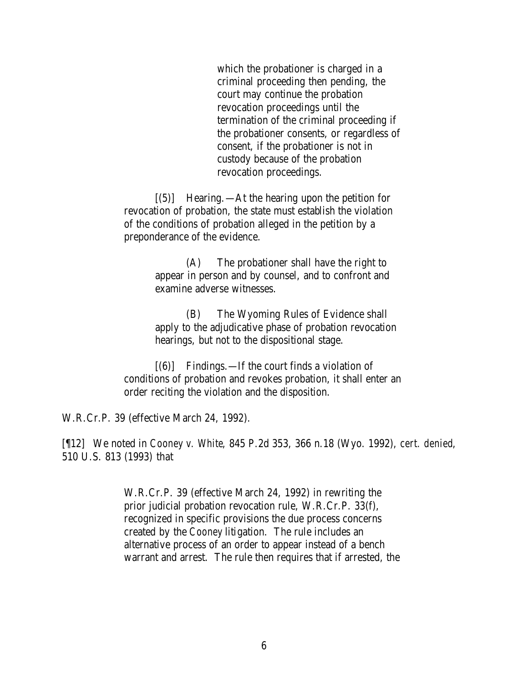which the probationer is charged in a criminal proceeding then pending, the court may continue the probation revocation proceedings until the termination of the criminal proceeding if the probationer consents, or regardless of consent, if the probationer is not in custody because of the probation revocation proceedings.

[(5)] Hearing.—At the hearing upon the petition for revocation of probation, the state must establish the violation of the conditions of probation alleged in the petition by a preponderance of the evidence.

> (A) The probationer shall have the right to appear in person and by counsel, and to confront and examine adverse witnesses.

(B) The Wyoming Rules of Evidence shall apply to the adjudicative phase of probation revocation hearings, but not to the dispositional stage.

[(6)] Findings.—If the court finds a violation of conditions of probation and revokes probation, it shall enter an order reciting the violation and the disposition.

W.R.Cr.P. 39 (effective March 24, 1992).

[¶12] We noted in *Cooney v. White*, 845 P.2d 353, 366 n.18 (Wyo. 1992), *cert. denied*, 510 U.S. 813 (1993) that

> W.R.Cr.P. 39 (effective March 24, 1992) in rewriting the prior judicial probation revocation rule, W.R.Cr.P. 33(f), recognized in specific provisions the due process concerns created by the *Cooney* litigation. The rule includes an alternative process of an order to appear instead of a bench warrant and arrest. The rule then requires that if arrested, the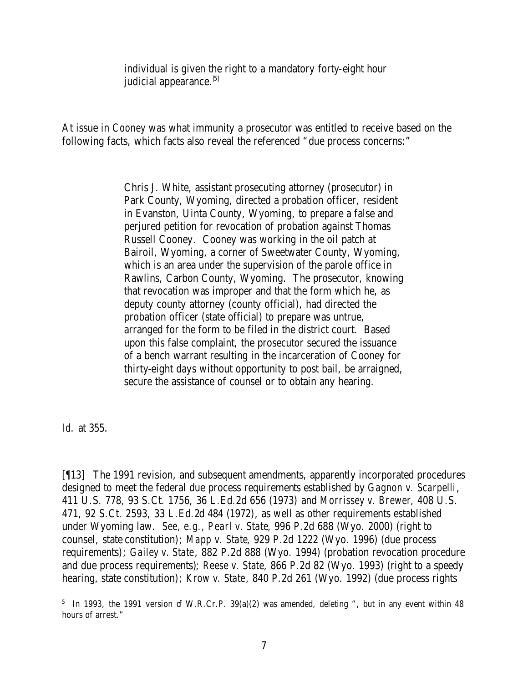individual is given the right to a mandatory forty-eight hour judicial appearance.<sup>[5]</sup>

At issue in *Cooney* was what immunity a prosecutor was entitled to receive based on the following facts, which facts also reveal the referenced "due process concerns:"

> Chris J. White, assistant prosecuting attorney (prosecutor) in Park County, Wyoming, directed a probation officer, resident in Evanston, Uinta County, Wyoming, to prepare a false and perjured petition for revocation of probation against Thomas Russell Cooney. Cooney was working in the oil patch at Bairoil, Wyoming, a corner of Sweetwater County, Wyoming, which is an area under the supervision of the parole office in Rawlins, Carbon County, Wyoming. The prosecutor, knowing that revocation was improper and that the form which he, as deputy county attorney (county official), had directed the probation officer (state official) to prepare was untrue, arranged for the form to be filed in the district court. Based upon this false complaint, the prosecutor secured the issuance of a bench warrant resulting in the incarceration of Cooney for thirty-eight days without opportunity to post bail, be arraigned, secure the assistance of counsel or to obtain any hearing.

*Id.* at 355.

[¶13] The 1991 revision, and subsequent amendments, apparently incorporated procedures designed to meet the federal due process requirements established by *Gagnon v. Scarpelli*, 411 U.S. 778, 93 S.Ct. 1756, 36 L.Ed.2d 656 (1973) and *Morrissey v. Brewer*, 408 U.S. 471, 92 S.Ct. 2593, 33 L.Ed.2d 484 (1972), as well as other requirements established under Wyoming law. *See, e.g., Pearl v. State*, 996 P.2d 688 (Wyo. 2000) (right to counsel, state constitution); *Mapp v. State*, 929 P.2d 1222 (Wyo. 1996) (due process requirements); *Gailey v. State*, 882 P.2d 888 (Wyo. 1994) (probation revocation procedure and due process requirements); *Reese v. State*, 866 P.2d 82 (Wyo. 1993) (right to a speedy hearing, state constitution); *Krow v. State*, 840 P.2d 261 (Wyo. 1992) (due process rights

 $5\,$  In 1993, the 1991 version of W.R.Cr.P. 39(a)(2) was amended, deleting ", but in any event within 48 hours of arrest."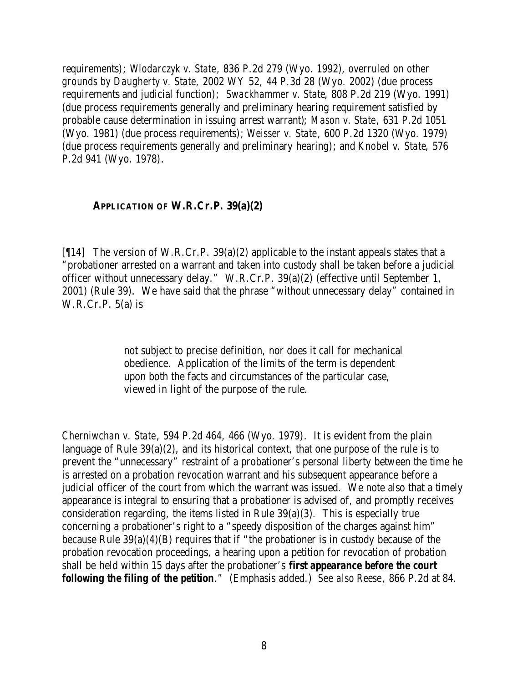requirements); *Wlodarczyk v. State*, 836 P.2d 279 (Wyo. 1992), *overruled on other grounds by Daugherty v. State*, 2002 WY 52, 44 P.3d 28 (Wyo. 2002) (due process requirements and judicial function); *Swackhammer v. State*, 808 P.2d 219 (Wyo. 1991) (due process requirements generally and preliminary hearing requirement satisfied by probable cause determination in issuing arrest warrant); *Mason v. State*, 631 P.2d 1051 (Wyo. 1981) (due process requirements); *Weisser v. State*, 600 P.2d 1320 (Wyo. 1979) (due process requirements generally and preliminary hearing); and *Knobel v. State*, 576 P.2d 941 (Wyo. 1978).

#### **APPLICATION OF W.R.Cr.P. 39(a)(2)**

[ $[14]$  The version of W.R.Cr.P. 39(a)(2) applicable to the instant appeals states that a "probationer arrested on a warrant and taken into custody shall be taken before a judicial officer without unnecessary delay." W.R.Cr.P. 39(a)(2) (effective until September 1, 2001) (Rule 39). We have said that the phrase "without unnecessary delay" contained in  $W.R.Cr.P. 5(a)$  is

> not subject to precise definition, nor does it call for mechanical obedience. Application of the limits of the term is dependent upon both the facts and circumstances of the particular case, viewed in light of the purpose of the rule.

*Cherniwchan v. State*, 594 P.2d 464, 466 (Wyo. 1979). It is evident from the plain language of Rule 39(a)(2), and its historical context, that one purpose of the rule is to prevent the "unnecessary" restraint of a probationer's personal liberty between the time he is arrested on a probation revocation warrant and his subsequent appearance before a judicial officer of the court from which the warrant was issued. We note also that a timely appearance is integral to ensuring that a probationer is advised of, and promptly receives consideration regarding, the items listed in Rule 39(a)(3). This is especially true concerning a probationer's right to a "speedy disposition of the charges against him" because Rule 39(a)(4)(B) requires that if "the probationer is in custody because of the probation revocation proceedings, a hearing upon a petition for revocation of probation shall be held within 15 days after the probationer's *first appearance before the court following the filing of the petition*." (Emphasis added.) *See also Reese*, 866 P.2d at 84.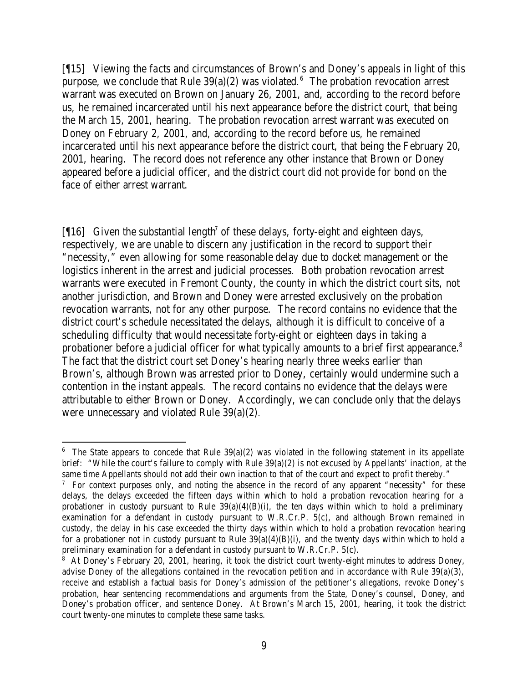[¶15] Viewing the facts and circumstances of Brown's and Doney's appeals in light of this purpose, we conclude that Rule  $39(a)(2)$  was violated.<sup>6</sup> The probation revocation arrest warrant was executed on Brown on January 26, 2001, and, according to the record before us, he remained incarcerated until his next appearance before the district court, that being the March 15, 2001, hearing. The probation revocation arrest warrant was executed on Doney on February 2, 2001, and, according to the record before us, he remained incarcerated until his next appearance before the district court, that being the February 20, 2001, hearing. The record does not reference any other instance that Brown or Doney appeared before a judicial officer, and the district court did not provide for bond on the face of either arrest warrant.

[ $[16]$  Given the substantial length<sup>7</sup> of these delays, forty-eight and eighteen days, respectively, we are unable to discern any justification in the record to support their "necessity," even allowing for some reasonable delay due to docket management or the logistics inherent in the arrest and judicial processes. Both probation revocation arrest warrants were executed in Fremont County, the county in which the district court sits, not another jurisdiction, and Brown and Doney were arrested exclusively on the probation revocation warrants, not for any other purpose. The record contains no evidence that the district court's schedule necessitated the delays, although it is difficult to conceive of a scheduling difficulty that would necessitate forty-eight or eighteen days in taking a probationer before a judicial officer for what typically amounts to a brief first appearance.<sup>8</sup> The fact that the district court set Doney's hearing nearly three weeks earlier than Brown's, although Brown was arrested prior to Doney, certainly would undermine such a contention in the instant appeals. The record contains no evidence that the delays were attributable to either Brown or Doney. Accordingly, we can conclude only that the delays were unnecessary and violated Rule 39(a)(2).

 $6$  The State appears to concede that Rule 39(a)(2) was violated in the following statement in its appellate brief: "While the court's failure to comply with Rule 39(a)(2) is not excused by Appellants' inaction, at the same time Appellants should not add their own inaction to that of the court and expect to profit thereby."

<sup>&</sup>lt;sup>7</sup> For context purposes only, and noting the absence in the record of any apparent "necessity" for these delays, the delays exceeded the fifteen days within which to hold a probation revocation hearing for a probationer in custody pursuant to Rule  $39(a)(4)(B)(i)$ , the ten days within which to hold a preliminary examination for a defendant in custody pursuant to W.R.Cr.P. 5(c), and although Brown remained in custody, the delay in his case exceeded the thirty days within which to hold a probation revocation hearing for a probationer not in custody pursuant to Rule  $39(a)(4)(B)(i)$ , and the twenty days within which to hold a preliminary examination for a defendant in custody pursuant to W.R.Cr.P. 5(c).

<sup>&</sup>lt;sup>8</sup> At Doney's February 20, 2001, hearing, it took the district court twenty-eight minutes to address Doney, advise Doney of the allegations contained in the revocation petition and in accordance with Rule 39(a)(3), receive and establish a factual basis for Doney's admission of the petitioner's allegations, revoke Doney's probation, hear sentencing recommendations and arguments from the State, Doney's counsel, Doney, and Doney's probation officer, and sentence Doney. At Brown's March 15, 2001, hearing, it took the district court twenty-one minutes to complete these same tasks.